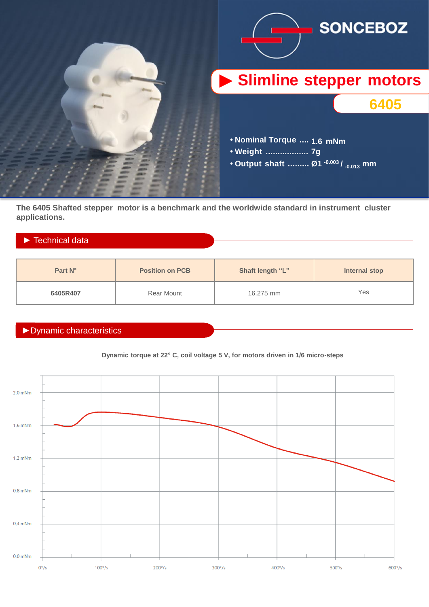

**The 6405 Shafted stepper motor is a benchmark and the worldwide standard in instrument cluster applications.**

## ► Technical data

| Part N°  | <b>Position on PCB</b> | Shaft length "L" | Internal stop |
|----------|------------------------|------------------|---------------|
| 6405R407 | Rear Mount             | 16.275 mm        | Yes           |

## ►Dynamic characteristics

## **Dynamic torque at 22° C, coil voltage 5 V, for motors driven in 1/6 micro-steps**

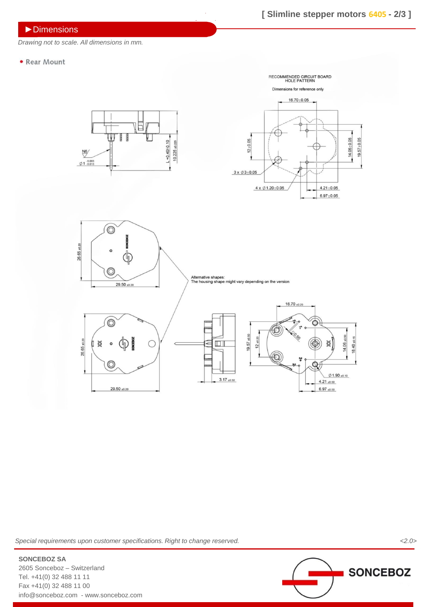►Dimensions

*Drawing not to scale. All dimensions in mm.*

• Rear Mount



*Special requirements upon customer specifications. Right to change reserved. <2.0>*



2605 Sonceboz – Switzerland Tel. +41(0) 32 488 11 11 Fax +41(0) 32 488 11 00 info@sonceboz.com - www.sonceboz.com

**SONCEBOZ SA**